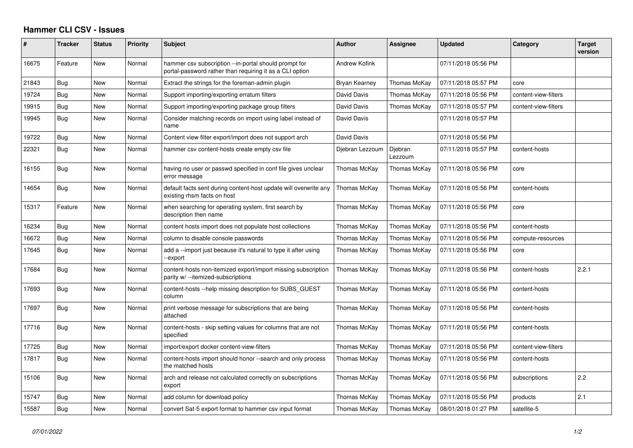## **Hammer CLI CSV - Issues**

| #     | <b>Tracker</b> | <b>Status</b> | Priority | <b>Subject</b>                                                                                                    | <b>Author</b>   | Assignee           | <b>Updated</b>      | Category             | <b>Target</b><br>version |
|-------|----------------|---------------|----------|-------------------------------------------------------------------------------------------------------------------|-----------------|--------------------|---------------------|----------------------|--------------------------|
| 16675 | Feature        | New           | Normal   | hammer csv subscription --in-portal should prompt for<br>portal-password rather than requiring it as a CLI option | Andrew Kofink   |                    | 07/11/2018 05:56 PM |                      |                          |
| 21843 | Bug            | New           | Normal   | Extract the strings for the foreman-admin plugin                                                                  | Bryan Kearney   | Thomas McKay       | 07/11/2018 05:57 PM | core                 |                          |
| 19724 | Bug            | New           | Normal   | Support importing/exporting erratum filters                                                                       | David Davis     | Thomas McKay       | 07/11/2018 05:56 PM | content-view-filters |                          |
| 19915 | <b>Bug</b>     | New           | Normal   | Support importing/exporting package group filters                                                                 | David Davis     | Thomas McKay       | 07/11/2018 05:57 PM | content-view-filters |                          |
| 19945 | Bug            | <b>New</b>    | Normal   | Consider matching records on import using label instead of<br>name                                                | David Davis     |                    | 07/11/2018 05:57 PM |                      |                          |
| 19722 | <b>Bug</b>     | New           | Normal   | Content view filter export/import does not support arch                                                           | David Davis     |                    | 07/11/2018 05:56 PM |                      |                          |
| 22321 | Bug            | New           | Normal   | hammer csv content-hosts create empty csv file                                                                    | Djebran Lezzoum | Djebran<br>Lezzoum | 07/11/2018 05:57 PM | content-hosts        |                          |
| 16155 | Bug            | New           | Normal   | having no user or passwd specified in conf file gives unclear<br>error message                                    | Thomas McKay    | Thomas McKay       | 07/11/2018 05:56 PM | core                 |                          |
| 14654 | Bug            | New           | Normal   | default facts sent during content-host update will overwrite any<br>existing rhsm facts on host                   | Thomas McKay    | Thomas McKay       | 07/11/2018 05:56 PM | content-hosts        |                          |
| 15317 | Feature        | New           | Normal   | when searching for operating system, first search by<br>description then name                                     | Thomas McKay    | Thomas McKay       | 07/11/2018 05:56 PM | core                 |                          |
| 16234 | Bug            | New           | Normal   | content hosts import does not populate host collections                                                           | Thomas McKay    | Thomas McKay       | 07/11/2018 05:56 PM | content-hosts        |                          |
| 16672 | Bug            | <b>New</b>    | Normal   | column to disable console passwords                                                                               | Thomas McKay    | Thomas McKay       | 07/11/2018 05:56 PM | compute-resources    |                          |
| 17645 | Bug            | New           | Normal   | add a --import just because it's natural to type it after using<br>-export                                        | Thomas McKay    | Thomas McKay       | 07/11/2018 05:56 PM | core                 |                          |
| 17684 | Bug            | New           | Normal   | content-hosts non-itemized export/import missing subscription<br>parity w/ --itemized-subscriptions               | Thomas McKay    | Thomas McKay       | 07/11/2018 05:56 PM | content-hosts        | 2.2.1                    |
| 17693 | Bug            | <b>New</b>    | Normal   | content-hosts --help missing description for SUBS GUEST<br>column                                                 | Thomas McKay    | Thomas McKay       | 07/11/2018 05:56 PM | content-hosts        |                          |
| 17697 | Bug            | New           | Normal   | print verbose message for subscriptions that are being<br>attached                                                | Thomas McKay    | Thomas McKay       | 07/11/2018 05:56 PM | content-hosts        |                          |
| 17716 | Bug            | New           | Normal   | content-hosts - skip setting values for columns that are not<br>specified                                         | Thomas McKay    | Thomas McKay       | 07/11/2018 05:56 PM | content-hosts        |                          |
| 17725 | Bug            | New           | Normal   | import/export docker content-view-filters                                                                         | Thomas McKay    | Thomas McKay       | 07/11/2018 05:56 PM | content-view-filters |                          |
| 17817 | Bug            | New           | Normal   | content-hosts import should honor --search and only process<br>the matched hosts                                  | Thomas McKay    | Thomas McKay       | 07/11/2018 05:56 PM | content-hosts        |                          |
| 15106 | Bug            | New           | Normal   | arch and release not calculated correctly on subscriptions<br>export                                              | Thomas McKay    | Thomas McKay       | 07/11/2018 05:56 PM | subscriptions        | 2.2                      |
| 15747 | Bug            | New           | Normal   | add column for download policy                                                                                    | Thomas McKay    | Thomas McKay       | 07/11/2018 05:56 PM | products             | 2.1                      |
| 15587 | <b>Bug</b>     | New           | Normal   | convert Sat-5 export format to hammer csy input format                                                            | Thomas McKay    | Thomas McKay       | 08/01/2018 01:27 PM | satellite-5          |                          |